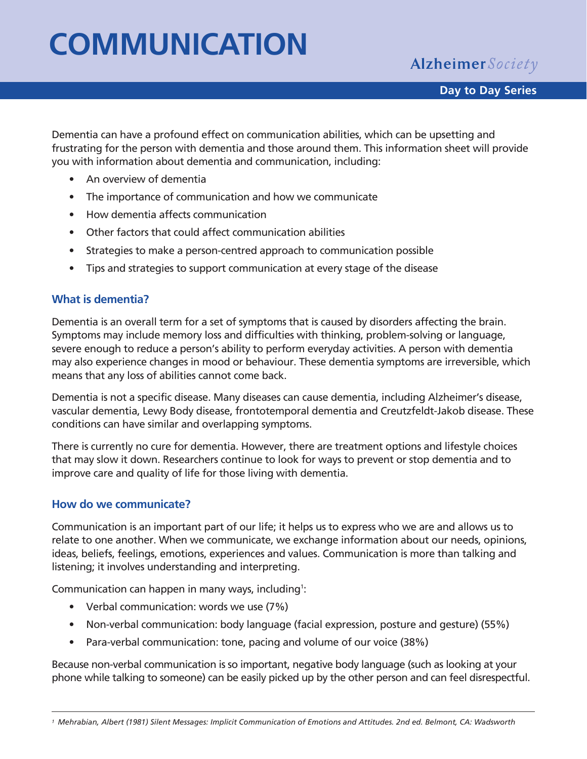# **COMMUNICATION**

**Alzheimer** Society

Dementia can have a profound effect on communication abilities, which can be upsetting and frustrating for the person with dementia and those around them. This information sheet will provide you with information about dementia and communication, including:

- An overview of dementia
- The importance of communication and how we communicate
- How dementia affects communication
- Other factors that could affect communication abilities
- Strategies to make a person-centred approach to communication possible
- Tips and strategies to support communication at every stage of the disease

#### **What is dementia?**

Dementia is an overall term for a set of symptoms that is caused by disorders affecting the brain. Symptoms may include memory loss and difficulties with thinking, problem-solving or language, severe enough to reduce a person's ability to perform everyday activities. A person with dementia may also experience changes in mood or behaviour. These dementia symptoms are irreversible, which means that any loss of abilities cannot come back.

Dementia is not a specific disease. Many diseases can cause dementia, including Alzheimer's disease, vascular dementia, Lewy Body disease, frontotemporal dementia and Creutzfeldt-Jakob disease. These conditions can have similar and overlapping symptoms.

There is currently no cure for dementia. However, there are treatment options and lifestyle choices that may slow it down. Researchers continue to look for ways to prevent or stop dementia and to improve care and quality of life for those living with dementia.

#### **How do we communicate?**

Communication is an important part of our life; it helps us to express who we are and allows us to relate to one another. When we communicate, we exchange information about our needs, opinions, ideas, beliefs, feelings, emotions, experiences and values. Communication is more than talking and listening; it involves understanding and interpreting.

Communication can happen in many ways, including<sup>1</sup>:

- Verbal communication: words we use (7%)
- Non-verbal communication: body language (facial expression, posture and gesture) (55%)
- Para-verbal communication: tone, pacing and volume of our voice (38%)

Because non-verbal communication is so important, negative body language (such as looking at your phone while talking to someone) can be easily picked up by the other person and can feel disrespectful.

*<sup>1</sup> Mehrabian, Albert (1981) Silent Messages: Implicit Communication of Emotions and Attitudes. 2nd ed. Belmont, CA: Wadsworth*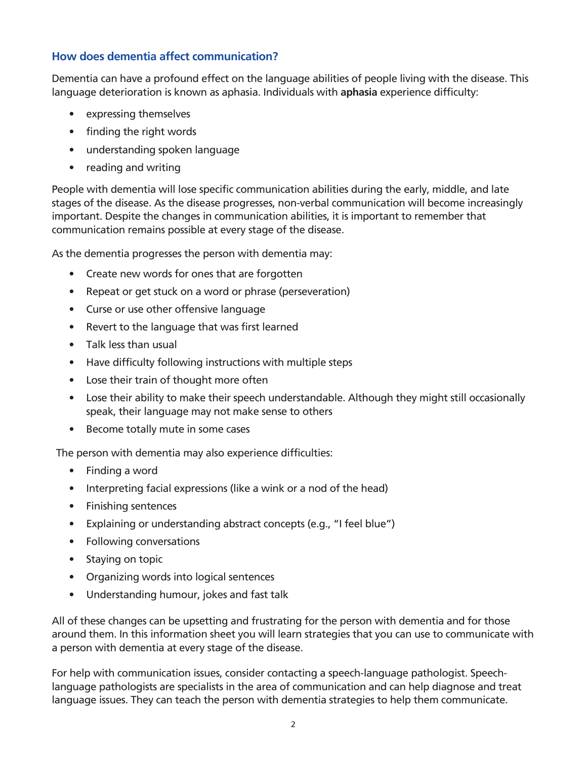#### **How does dementia affect communication?**

Dementia can have a profound effect on the language abilities of people living with the disease. This language deterioration is known as aphasia. Individuals with **aphasia** experience difficulty:

- expressing themselves
- finding the right words
- understanding spoken language
- reading and writing

People with dementia will lose specific communication abilities during the early, middle, and late stages of the disease. As the disease progresses, non-verbal communication will become increasingly important. Despite the changes in communication abilities, it is important to remember that communication remains possible at every stage of the disease.

As the dementia progresses the person with dementia may:

- Create new words for ones that are forgotten
- Repeat or get stuck on a word or phrase (perseveration)
- Curse or use other offensive language
- Revert to the language that was first learned
- Talk less than usual
- Have difficulty following instructions with multiple steps
- Lose their train of thought more often
- Lose their ability to make their speech understandable. Although they might still occasionally speak, their language may not make sense to others
- Become totally mute in some cases

The person with dementia may also experience difficulties:

- Finding a word
- Interpreting facial expressions (like a wink or a nod of the head)
- Finishing sentences
- Explaining or understanding abstract concepts (e.g., "I feel blue")
- Following conversations
- Staying on topic
- Organizing words into logical sentences
- Understanding humour, jokes and fast talk

All of these changes can be upsetting and frustrating for the person with dementia and for those around them. In this information sheet you will learn strategies that you can use to communicate with a person with dementia at every stage of the disease.

For help with communication issues, consider contacting a speech-language pathologist. Speechlanguage pathologists are specialists in the area of communication and can help diagnose and treat language issues. They can teach the person with dementia strategies to help them communicate.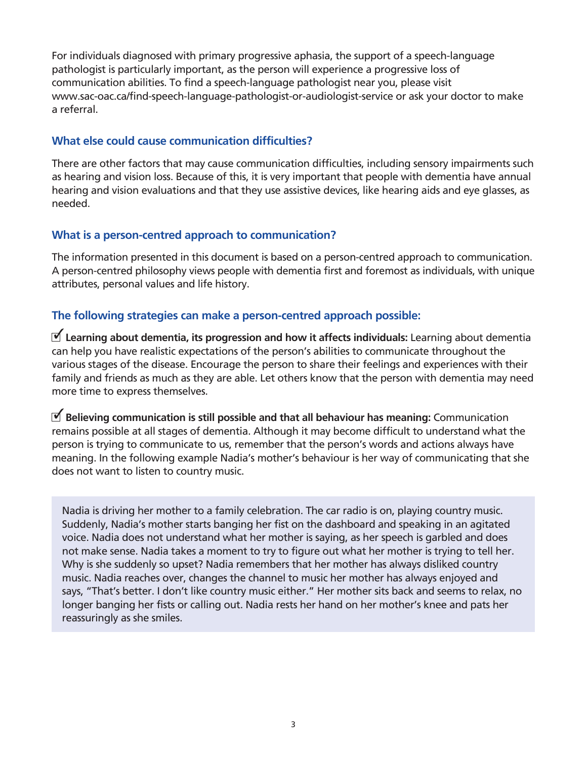For individuals diagnosed with primary progressive aphasia, the support of a speech-language pathologist is particularly important, as the person will experience a progressive loss of communication abilities. To find a speech-language pathologist near you, please visit www.sac-oac.ca/find-speech-language-pathologist-or-audiologist-service or ask your doctor to make a referral.

#### **What else could cause communication difficulties?**

There are other factors that may cause communication difficulties, including sensory impairments such as hearing and vision loss. Because of this, it is very important that people with dementia have annual hearing and vision evaluations and that they use assistive devices, like hearing aids and eye glasses, as needed.

#### **What is a person-centred approach to communication?**

The information presented in this document is based on a person-centred approach to communication. A person-centred philosophy views people with dementia first and foremost as individuals, with unique attributes, personal values and life history.

#### **The following strategies can make a person-centred approach possible:**

 **Learning about dementia, its progression and how it affects individuals:** Learning about dementia 3 can help you have realistic expectations of the person's abilities to communicate throughout the various stages of the disease. Encourage the person to share their feelings and experiences with their family and friends as much as they are able. Let others know that the person with dementia may need more time to express themselves.

**了 Believing communication is still possible and that all behaviour has meaning: Communication** remains possible at all stages of dementia. Although it may become difficult to understand what the person is trying to communicate to us, remember that the person's words and actions always have meaning. In the following example Nadia's mother's behaviour is her way of communicating that she does not want to listen to country music.

Nadia is driving her mother to a family celebration. The car radio is on, playing country music. Suddenly, Nadia's mother starts banging her fist on the dashboard and speaking in an agitated voice. Nadia does not understand what her mother is saying, as her speech is garbled and does not make sense. Nadia takes a moment to try to figure out what her mother is trying to tell her. Why is she suddenly so upset? Nadia remembers that her mother has always disliked country music. Nadia reaches over, changes the channel to music her mother has always enjoyed and says, "That's better. I don't like country music either." Her mother sits back and seems to relax, no longer banging her fists or calling out. Nadia rests her hand on her mother's knee and pats her reassuringly as she smiles.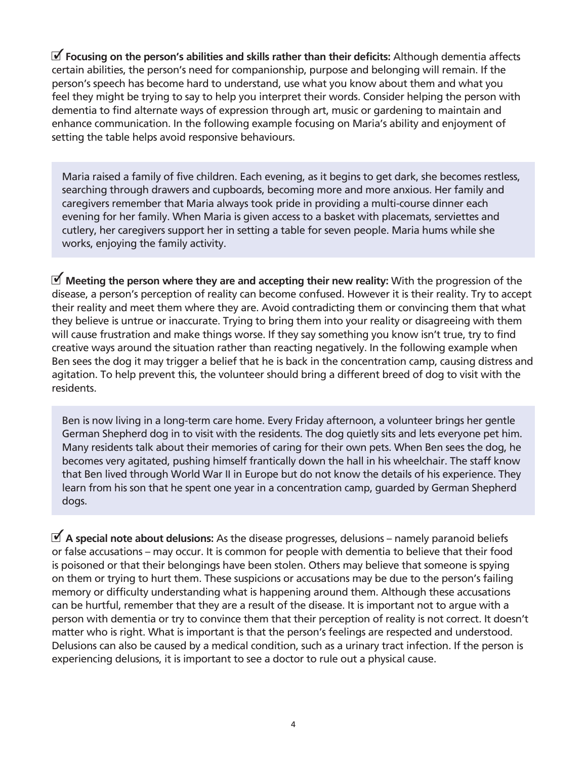**Focusing on the person's abilities and skills rather than their deficits:** Although dementia affects 3certain abilities, the person's need for companionship, purpose and belonging will remain. If the person's speech has become hard to understand, use what you know about them and what you feel they might be trying to say to help you interpret their words. Consider helping the person with dementia to find alternate ways of expression through art, music or gardening to maintain and enhance communication. In the following example focusing on Maria's ability and enjoyment of setting the table helps avoid responsive behaviours.

Maria raised a family of five children. Each evening, as it begins to get dark, she becomes restless, searching through drawers and cupboards, becoming more and more anxious. Her family and caregivers remember that Maria always took pride in providing a multi-course dinner each evening for her family. When Maria is given access to a basket with placemats, serviettes and cutlery, her caregivers support her in setting a table for seven people. Maria hums while she works, enjoying the family activity.

 $\blacktriangledown$  Meeting the person where they are and accepting their new reality: With the progression of the disease, a person's perception of reality can become confused. However it is their reality. Try to accept their reality and meet them where they are. Avoid contradicting them or convincing them that what they believe is untrue or inaccurate. Trying to bring them into your reality or disagreeing with them will cause frustration and make things worse. If they say something you know isn't true, try to find creative ways around the situation rather than reacting negatively. In the following example when Ben sees the dog it may trigger a belief that he is back in the concentration camp, causing distress and agitation. To help prevent this, the volunteer should bring a different breed of dog to visit with the residents.

Ben is now living in a long-term care home. Every Friday afternoon, a volunteer brings her gentle German Shepherd dog in to visit with the residents. The dog quietly sits and lets everyone pet him. Many residents talk about their memories of caring for their own pets. When Ben sees the dog, he becomes very agitated, pushing himself frantically down the hall in his wheelchair. The staff know that Ben lived through World War II in Europe but do not know the details of his experience. They learn from his son that he spent one year in a concentration camp, guarded by German Shepherd dogs.

**了 A special note about delusions:** As the disease progresses, delusions – namely paranoid beliefs or false accusations – may occur. It is common for people with dementia to believe that their food is poisoned or that their belongings have been stolen. Others may believe that someone is spying on them or trying to hurt them. These suspicions or accusations may be due to the person's failing memory or difficulty understanding what is happening around them. Although these accusations can be hurtful, remember that they are a result of the disease. It is important not to argue with a person with dementia or try to convince them that their perception of reality is not correct. It doesn't matter who is right. What is important is that the person's feelings are respected and understood. Delusions can also be caused by a medical condition, such as a urinary tract infection. If the person is experiencing delusions, it is important to see a doctor to rule out a physical cause.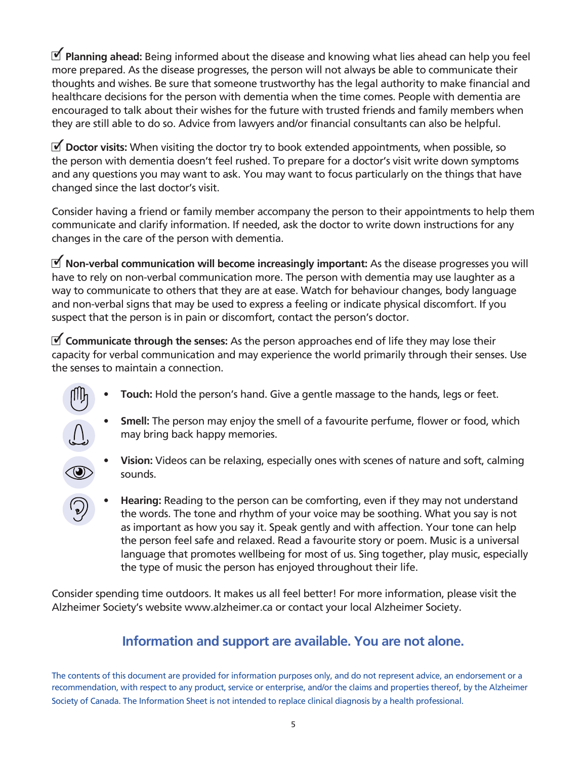$\blacktriangleright$  **Planning ahead:** Being informed about the disease and knowing what lies ahead can help you feel more prepared. As the disease progresses, the person will not always be able to communicate their thoughts and wishes. Be sure that someone trustworthy has the legal authority to make financial and healthcare decisions for the person with dementia when the time comes. People with dementia are encouraged to talk about their wishes for the future with trusted friends and family members when they are still able to do so. Advice from lawyers and/or financial consultants can also be helpful.

**了 Doctor visits:** When visiting the doctor try to book extended appointments, when possible, so the person with dementia doesn't feel rushed. To prepare for a doctor's visit write down symptoms and any questions you may want to ask. You may want to focus particularly on the things that have changed since the last doctor's visit.

Consider having a friend or family member accompany the person to their appointments to help them communicate and clarify information. If needed, ask the doctor to write down instructions for any changes in the care of the person with dementia.

 **Non-verbal communication will become increasingly important:** As the disease progresses you will 3 have to rely on non-verbal communication more. The person with dementia may use laughter as a way to communicate to others that they are at ease. Watch for behaviour changes, body language and non-verbal signs that may be used to express a feeling or indicate physical discomfort. If you suspect that the person is in pain or discomfort, contact the person's doctor.

**了 Communicate through the senses:** As the person approaches end of life they may lose their capacity for verbal communication and may experience the world primarily through their senses. Use the senses to maintain a connection.

- **• Touch:** Hold the person's hand. Give a gentle massage to the hands, legs or feet.
	- **• Smell:** The person may enjoy the smell of a favourite perfume, flower or food, which may bring back happy memories.
		- **• Vision:** Videos can be relaxing, especially ones with scenes of nature and soft, calming sounds.
- **• Hearing:** Reading to the person can be comforting, even if they may not understand the words. The tone and rhythm of your voice may be soothing. What you say is not as important as how you say it. Speak gently and with affection. Your tone can help the person feel safe and relaxed. Read a favourite story or poem. Music is a universal language that promotes wellbeing for most of us. Sing together, play music, especially the type of music the person has enjoyed throughout their life.

Consider spending time outdoors. It makes us all feel better! For more information, please visit the Alzheimer Society's website www.alzheimer.ca or contact your local Alzheimer Society.

### **Information and support are available. You are not alone.**

The contents of this document are provided for information purposes only, and do not represent advice, an endorsement or a recommendation, with respect to any product, service or enterprise, and/or the claims and properties thereof, by the Alzheimer Society of Canada. The Information Sheet is not intended to replace clinical diagnosis by a health professional.